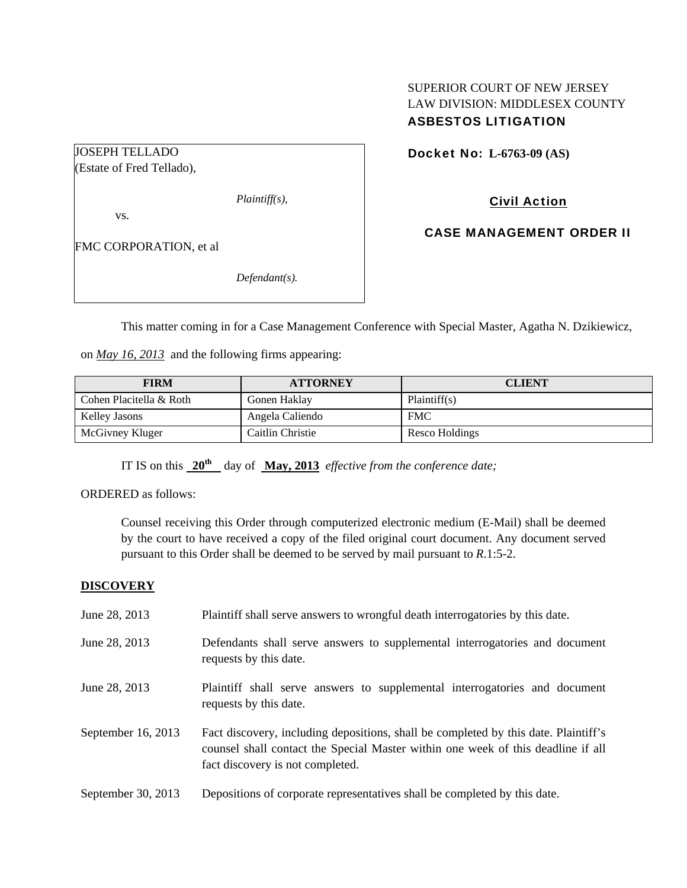## SUPERIOR COURT OF NEW JERSEY LAW DIVISION: MIDDLESEX COUNTY ASBESTOS LITIGATION

Docket No: **L-6763-09 (AS)** 

(Estate of Fred Tellado),

JOSEPH TELLADO

*Plaintiff(s),* 

vs.

FMC CORPORATION, et al

*Defendant(s).* 

Civil Action

CASE MANAGEMENT ORDER II

This matter coming in for a Case Management Conference with Special Master, Agatha N. Dzikiewicz,

on *May 16, 2013* and the following firms appearing:

| <b>FIRM</b>             | <b>ATTORNEY</b>  | <b>CLIENT</b>  |
|-------------------------|------------------|----------------|
| Cohen Placitella & Roth | Gonen Haklay     | Plaintiff(s)   |
| Kelley Jasons           | Angela Caliendo  | <b>FMC</b>     |
| McGivney Kluger         | Caitlin Christie | Resco Holdings |

IT IS on this  $20^{th}$  day of May, 2013 *effective from the conference date*;

ORDERED as follows:

Counsel receiving this Order through computerized electronic medium (E-Mail) shall be deemed by the court to have received a copy of the filed original court document. Any document served pursuant to this Order shall be deemed to be served by mail pursuant to *R*.1:5-2.

### **DISCOVERY**

June 28, 2013 Plaintiff shall serve answers to wrongful death interrogatories by this date. June 28, 2013 Defendants shall serve answers to supplemental interrogatories and document requests by this date. June 28, 2013 Plaintiff shall serve answers to supplemental interrogatories and document requests by this date. September 16, 2013 Fact discovery, including depositions, shall be completed by this date. Plaintiff's counsel shall contact the Special Master within one week of this deadline if all fact discovery is not completed. September 30, 2013 Depositions of corporate representatives shall be completed by this date.